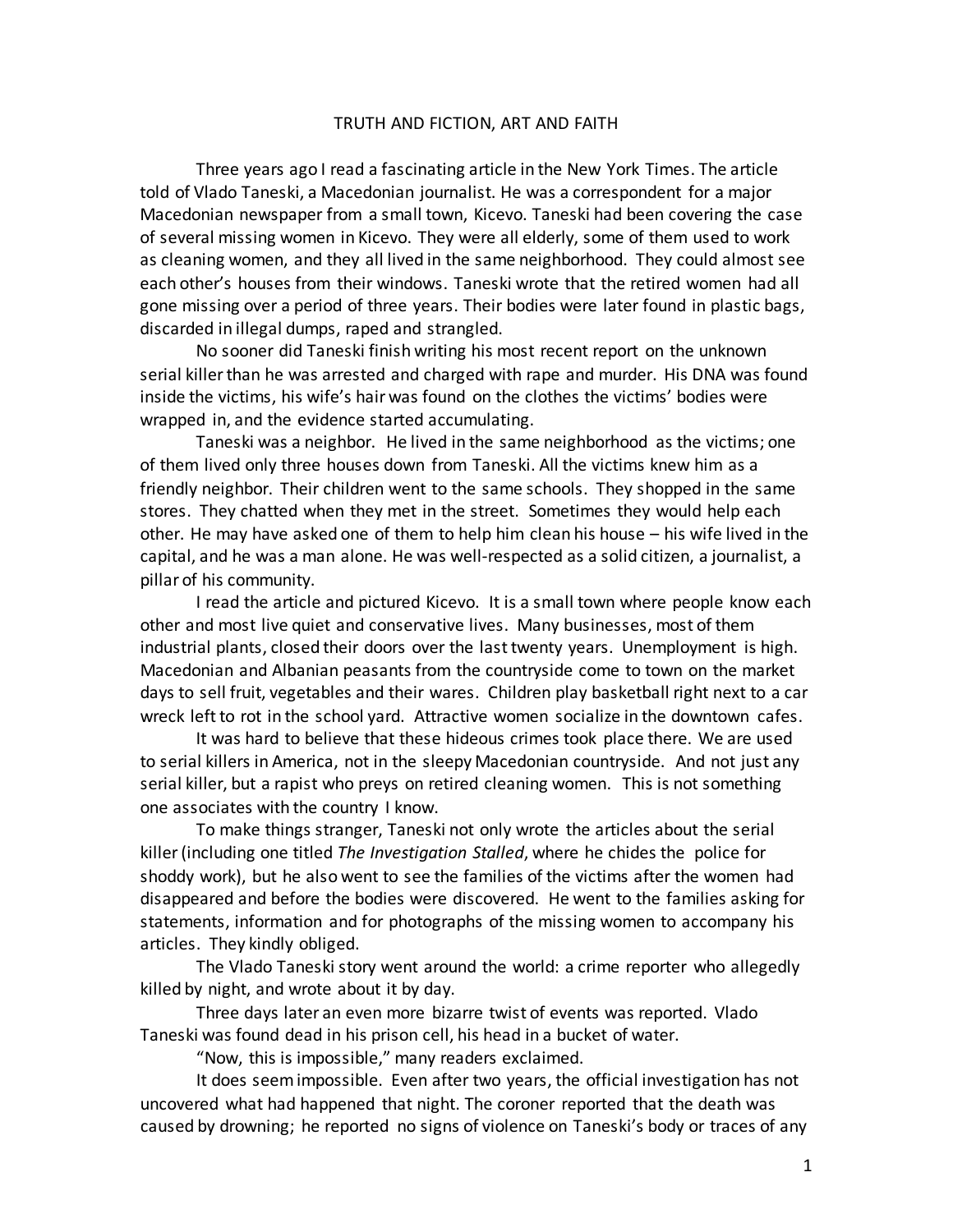## TRUTH AND FICTION, ART AND FAITH

Three years ago I read a fascinating article in the New York Times. The article told of Vlado Taneski, a Macedonian journalist. He was a correspondent for a major Macedonian newspaper from a small town, Kicevo. Taneski had been covering the case of several missing women in Kicevo. They were all elderly, some of them used to work as cleaning women, and they all lived in the same neighborhood. They could almost see each other's houses from their windows. Taneski wrote that the retired women had all gone missing over a period of three years. Their bodies were later found in plastic bags, discarded in illegal dumps, raped and strangled.

No sooner did Taneski finish writing his most recent report on the unknown serial killer than he was arrested and charged with rape and murder. His DNA was found inside the victims, his wife's hair was found on the clothes the victims' bodies were wrapped in, and the evidence started accumulating.

Taneski was a neighbor. He lived in the same neighborhood as the victims; one of them lived only three houses down from Taneski. All the victims knew him as a friendly neighbor. Their children went to the same schools. They shopped in the same stores. They chatted when they met in the street. Sometimes they would help each other. He may have asked one of them to help him clean his house – his wife lived in the capital, and he was a man alone. He was well-respected as a solid citizen, a journalist, a pillar of his community.

I read the article and pictured Kicevo. It is a small town where people know each other and most live quiet and conservative lives. Many businesses, most of them industrial plants, closed their doors over the last twenty years. Unemployment is high. Macedonian and Albanian peasants from the countryside come to town on the market days to sell fruit, vegetables and their wares. Children play basketball right next to a car wreck left to rot in the school yard. Attractive women socialize in the downtown cafes.

It was hard to believe that these hideous crimes took place there. We are used to serial killers in America, not in the sleepy Macedonian countryside. And not just any serial killer, but a rapist who preys on retired cleaning women. This is not something one associates with the country I know.

To make things stranger, Taneski not only wrote the articles about the serial killer (including one titled *The Investigation Stalled*, where he chides the police for shoddy work), but he also went to see the families of the victims after the women had disappeared and before the bodies were discovered. He went to the families asking for statements, information and for photographs of the missing women to accompany his articles. They kindly obliged.

The Vlado Taneski story went around the world: a crime reporter who allegedly killed by night, and wrote about it by day.

Three days later an even more bizarre twist of events was reported. Vlado Taneski was found dead in his prison cell, his head in a bucket of water.

"Now, this is impossible," many readers exclaimed.

It does seem impossible. Even after two years, the official investigation has not uncovered what had happened that night. The coroner reported that the death was caused by drowning; he reported no signs of violence on Taneski's body or traces of any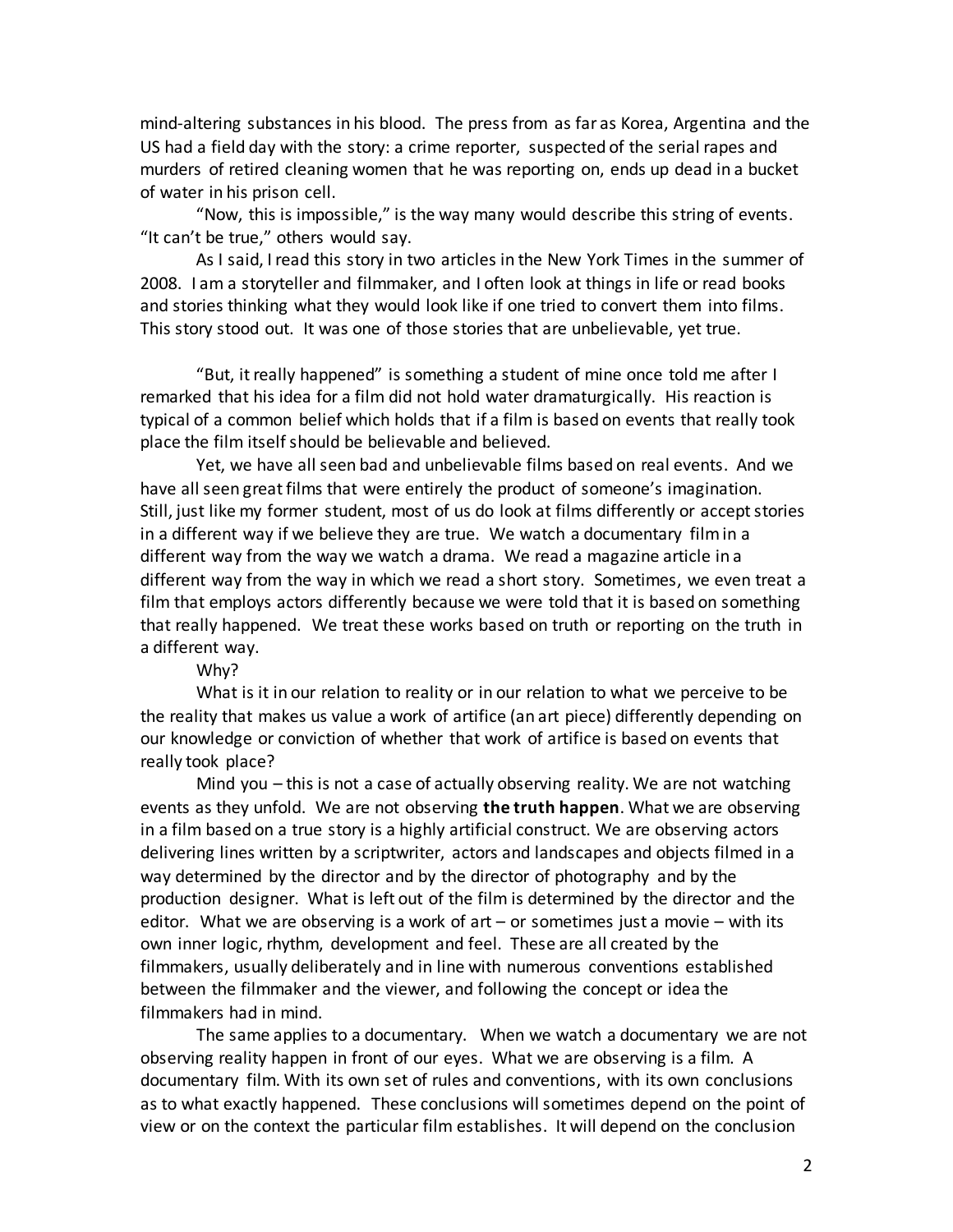mind-altering substances in his blood. The press from as far as Korea, Argentina and the US had a field day with the story: a crime reporter, suspected of the serial rapes and murders of retired cleaning women that he was reporting on, ends up dead in a bucket of water in his prison cell.

"Now, this is impossible," is the way many would describe this string of events. "It can't be true," others would say.

As I said, I read this story in two articles in the New York Times in the summer of 2008. I am a storyteller and filmmaker, and I often look at things in life or read books and stories thinking what they would look like if one tried to convert them into films. This story stood out. It was one of those stories that are unbelievable, yet true.

"But, it really happened" is something a student of mine once told me after I remarked that his idea for a film did not hold water dramaturgically. His reaction is typical of a common belief which holds that if a film is based on events that really took place the film itself should be believable and believed.

Yet, we have all seen bad and unbelievable films based on real events. And we have all seen great films that were entirely the product of someone's imagination. Still, just like my former student, most of us do look at films differently or accept stories in a different way if we believe they are true. We watch a documentary film in a different way from the way we watch a drama. We read a magazine article in a different way from the way in which we read a short story. Sometimes, we even treat a film that employs actors differently because we were told that it is based on something that really happened. We treat these works based on truth or reporting on the truth in a different way.

Why?

What is it in our relation to reality or in our relation to what we perceive to be the reality that makes us value a work of artifice (an art piece) differently depending on our knowledge or conviction of whether that work of artifice is based on events that really took place?

Mind you – this is not a case of actually observing reality. We are not watching events as they unfold. We are not observing **the truth happen**. What we are observing in a film based on a true story is a highly artificial construct. We are observing actors delivering lines written by a scriptwriter, actors and landscapes and objects filmed in a way determined by the director and by the director of photography and by the production designer. What is left out of the film is determined by the director and the editor. What we are observing is a work of  $art - or$  sometimes just a movie  $-$  with its own inner logic, rhythm, development and feel. These are all created by the filmmakers, usually deliberately and in line with numerous conventions established between the filmmaker and the viewer, and following the concept or idea the filmmakers had in mind.

The same applies to a documentary. When we watch a documentary we are not observing reality happen in front of our eyes. What we are observing is a film. A documentary film. With its own set of rules and conventions, with its own conclusions as to what exactly happened. These conclusions will sometimes depend on the point of view or on the context the particular film establishes. It will depend on the conclusion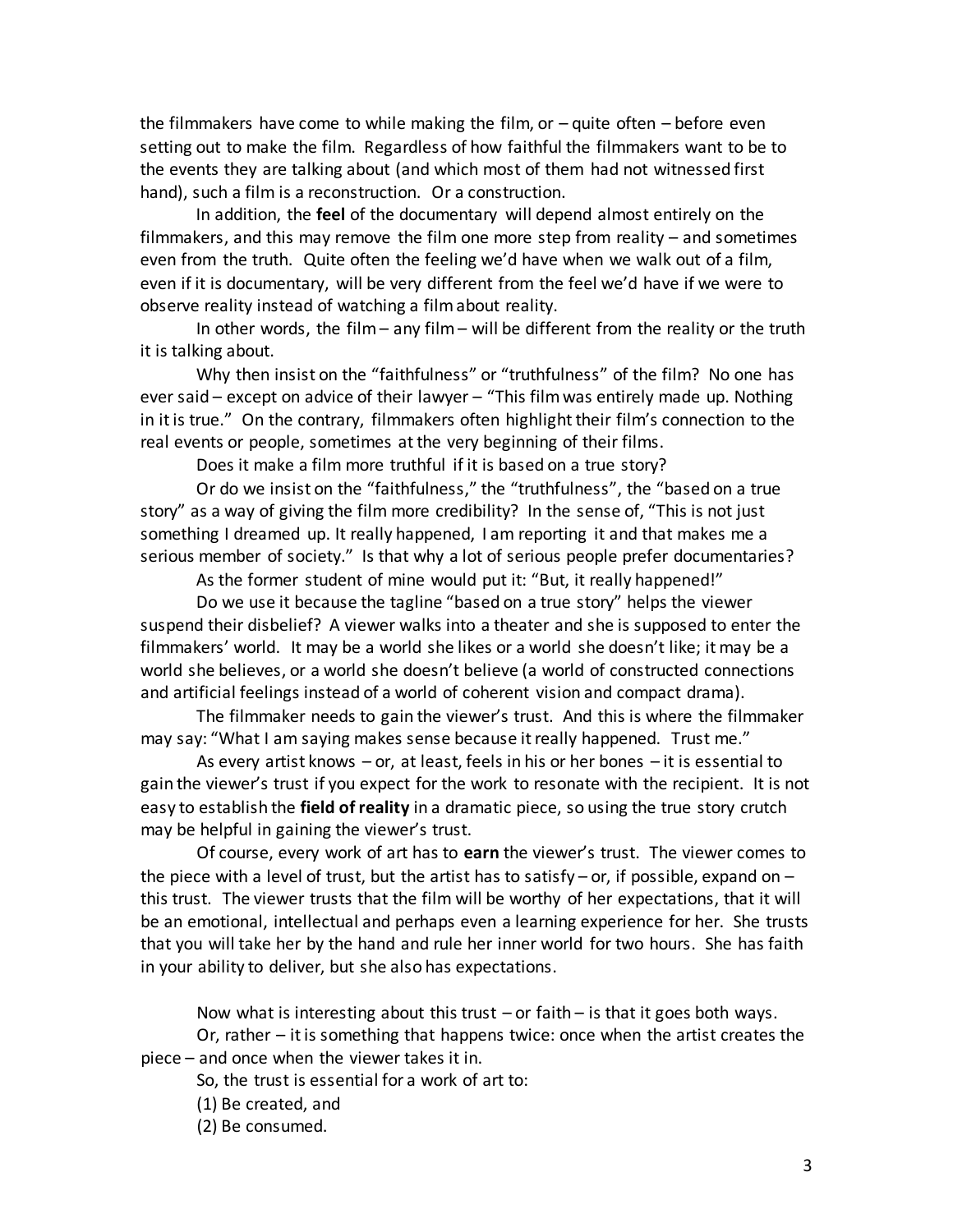the filmmakers have come to while making the film, or – quite often – before even setting out to make the film. Regardless of how faithful the filmmakers want to be to the events they are talking about (and which most of them had not witnessed first hand), such a film is a reconstruction. Or a construction.

In addition, the **feel** of the documentary will depend almost entirely on the filmmakers, and this may remove the film one more step from reality – and sometimes even from the truth. Quite often the feeling we'd have when we walk out of a film, even if it is documentary, will be very different from the feel we'd have if we were to observe reality instead of watching a film about reality.

In other words, the film – any film – will be different from the reality or the truth it is talking about.

Why then insist on the "faithfulness" or "truthfulness" of the film? No one has ever said – except on advice of their lawyer – "This film was entirely made up. Nothing in it is true." On the contrary, filmmakers often highlight their film's connection to the real events or people, sometimes at the very beginning of their films.

Does it make a film more truthful if it is based on a true story?

Or do we insist on the "faithfulness," the "truthfulness", the "based on a true story" as a way of giving the film more credibility? In the sense of, "This is not just something I dreamed up. It really happened, I am reporting it and that makes me a serious member of society." Is that why a lot of serious people prefer documentaries?

As the former student of mine would put it: "But, it really happened!"

Do we use it because the tagline "based on a true story" helps the viewer suspend their disbelief? A viewer walks into a theater and she is supposed to enter the filmmakers' world. It may be a world she likes or a world she doesn't like; it may be a world she believes, or a world she doesn't believe (a world of constructed connections and artificial feelings instead of a world of coherent vision and compact drama).

The filmmaker needs to gain the viewer's trust. And this is where the filmmaker may say: "What I am saying makes sense because it really happened. Trust me."

As every artist knows – or, at least, feels in his or her bones – it is essential to gain the viewer's trust if you expect for the work to resonate with the recipient. It is not easy to establish the **field of reality** in a dramatic piece, so using the true story crutch may be helpful in gaining the viewer's trust.

Of course, every work of art has to **earn** the viewer's trust. The viewer comes to the piece with a level of trust, but the artist has to satisfy – or, if possible, expand on – this trust. The viewer trusts that the film will be worthy of her expectations, that it will be an emotional, intellectual and perhaps even a learning experience for her. She trusts that you will take her by the hand and rule her inner world for two hours. She has faith in your ability to deliver, but she also has expectations.

Now what is interesting about this trust  $-$  or faith  $-$  is that it goes both ways. Or, rather – it is something that happens twice: once when the artist creates the piece – and once when the viewer takes it in.

So, the trust is essential for a work of art to:

(1) Be created, and

(2) Be consumed.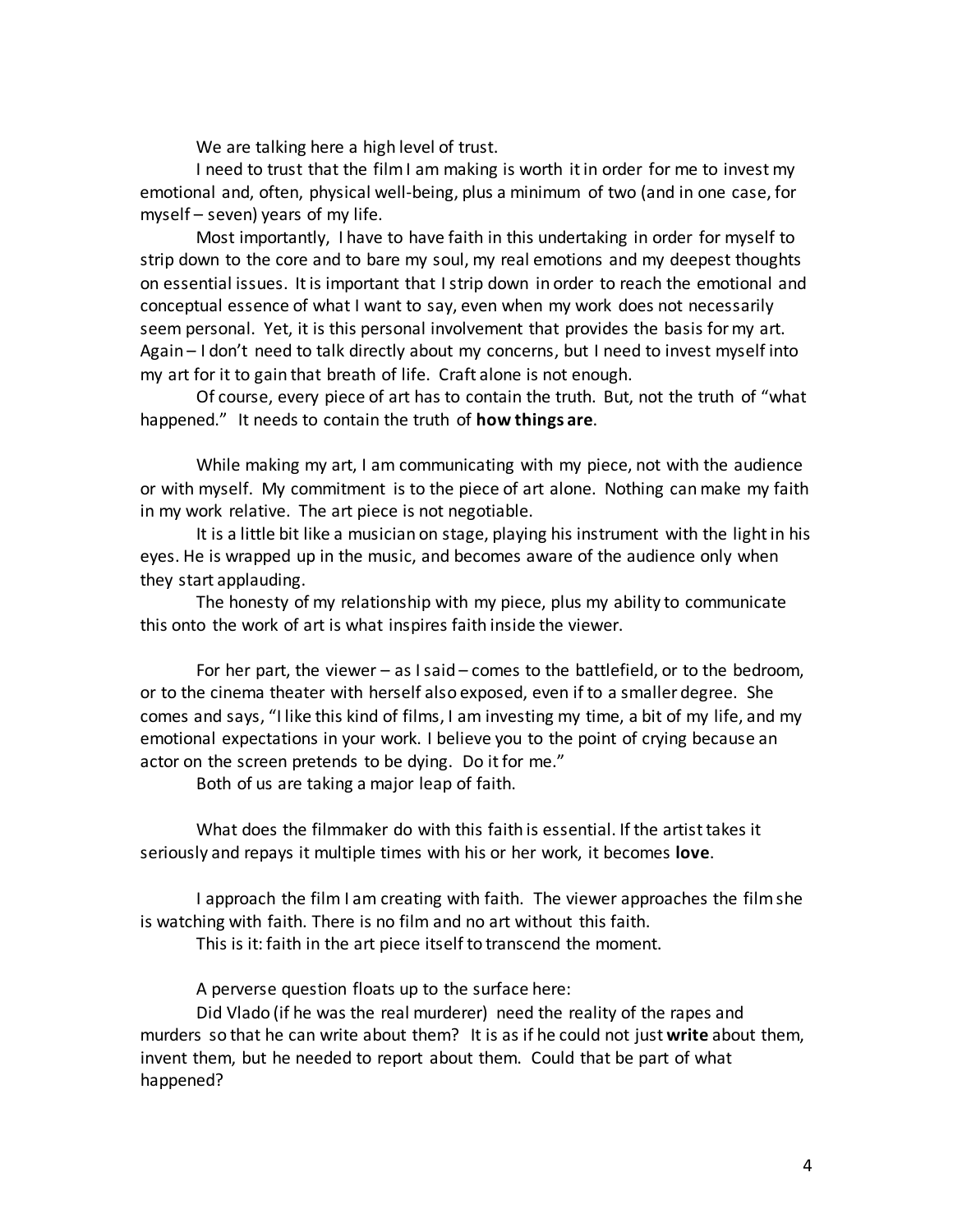We are talking here a high level of trust.

I need to trust that the film I am making is worth it in order for me to invest my emotional and, often, physical well-being, plus a minimum of two (and in one case, for myself – seven) years of my life.

Most importantly, I have to have faith in this undertaking in order for myself to strip down to the core and to bare my soul, my real emotions and my deepest thoughts on essential issues. It is important that I strip down in order to reach the emotional and conceptual essence of what I want to say, even when my work does not necessarily seem personal. Yet, it is this personal involvement that provides the basis for my art. Again – I don't need to talk directly about my concerns, but I need to invest myself into my art for it to gain that breath of life. Craft alone is not enough.

Of course, every piece of art has to contain the truth. But, not the truth of "what happened." It needs to contain the truth of **how things are**.

While making my art, I am communicating with my piece, not with the audience or with myself. My commitment is to the piece of art alone. Nothing can make my faith in my work relative. The art piece is not negotiable.

It is a little bit like a musician on stage, playing his instrument with the light in his eyes. He is wrapped up in the music, and becomes aware of the audience only when they start applauding.

The honesty of my relationship with my piece, plus my ability to communicate this onto the work of art is what inspires faith inside the viewer.

For her part, the viewer – as I said – comes to the battlefield, or to the bedroom, or to the cinema theater with herself also exposed, even if to a smaller degree. She comes and says, "I like this kind of films, I am investing my time, a bit of my life, and my emotional expectations in your work. I believe you to the point of crying because an actor on the screen pretends to be dying. Do it for me."

Both of us are taking a major leap of faith.

What does the filmmaker do with this faith is essential. If the artist takes it seriously and repays it multiple times with his or her work, it becomes **love**.

I approach the film I am creating with faith. The viewer approaches the film she is watching with faith. There is no film and no art without this faith.

This is it: faith in the art piece itself to transcend the moment.

A perverse question floats up to the surface here:

Did Vlado (if he was the real murderer) need the reality of the rapes and murders so that he can write about them? It is as if he could not just **write** about them, invent them, but he needed to report about them. Could that be part of what happened?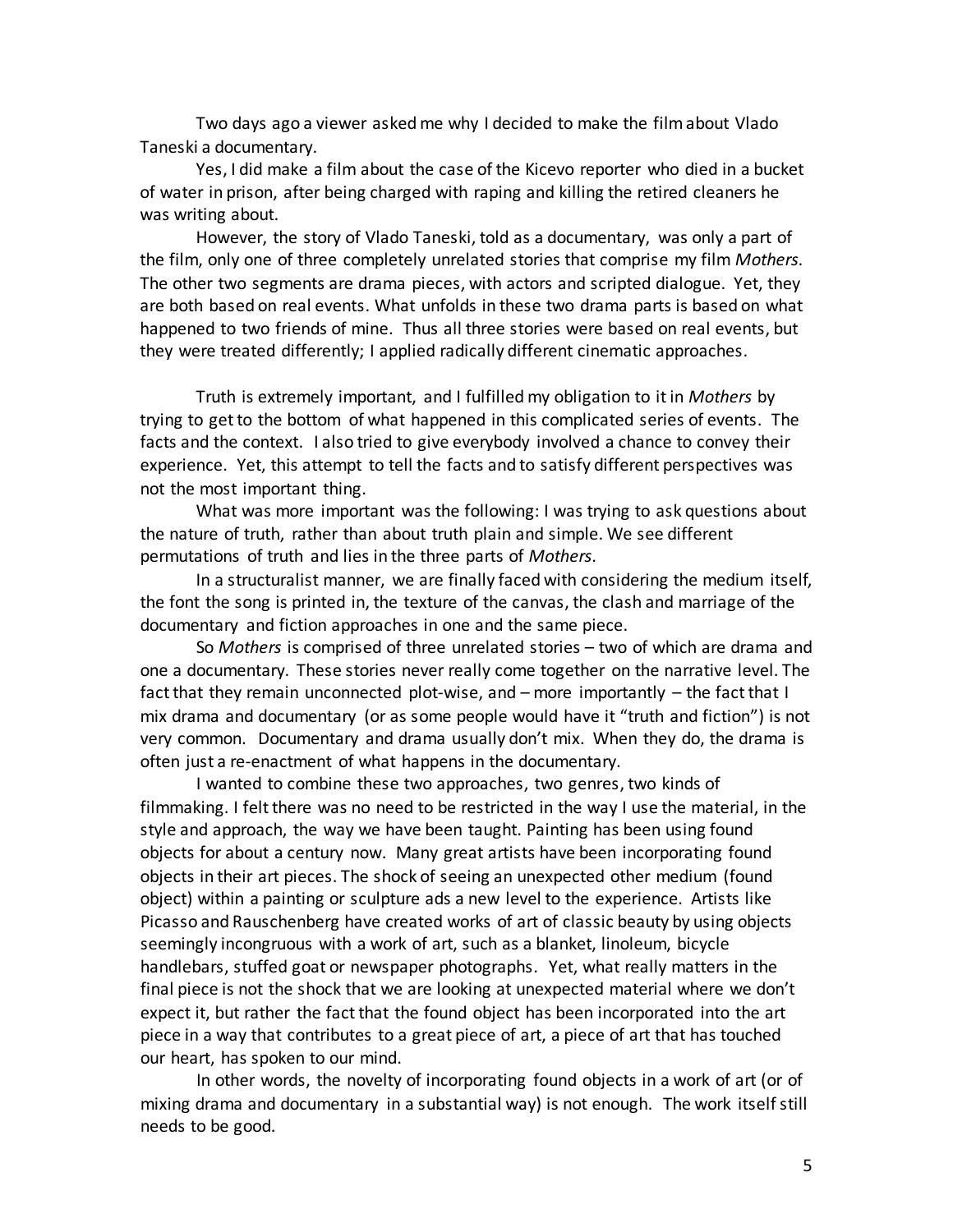Two days ago a viewer asked me why I decided to make the film about Vlado Taneski a documentary.

Yes, I did make a film about the case of the Kicevo reporter who died in a bucket of water in prison, after being charged with raping and killing the retired cleaners he was writing about.

However, the story of Vlado Taneski, told as a documentary, was only a part of the film, only one of three completely unrelated stories that comprise my film *Mothers*. The other two segments are drama pieces, with actors and scripted dialogue. Yet, they are both based on real events. What unfolds in these two drama parts is based on what happened to two friends of mine. Thus all three stories were based on real events, but they were treated differently; I applied radically different cinematic approaches.

Truth is extremely important, and I fulfilled my obligation to it in *Mothers* by trying to get to the bottom of what happened in this complicated series of events. The facts and the context. I also tried to give everybody involved a chance to convey their experience. Yet, this attempt to tell the facts and to satisfy different perspectives was not the most important thing.

What was more important was the following: I was trying to ask questions about the nature of truth, rather than about truth plain and simple. We see different permutations of truth and lies in the three parts of *Mothers*.

In a structuralist manner, we are finally faced with considering the medium itself, the font the song is printed in, the texture of the canvas, the clash and marriage of the documentary and fiction approaches in one and the same piece.

So *Mothers* is comprised of three unrelated stories – two of which are drama and one a documentary. These stories never really come together on the narrative level. The fact that they remain unconnected plot-wise, and – more importantly – the fact that I mix drama and documentary (or as some people would have it "truth and fiction") is not very common. Documentary and drama usually don't mix. When they do, the drama is often just a re-enactment of what happens in the documentary.

I wanted to combine these two approaches, two genres, two kinds of filmmaking. I felt there was no need to be restricted in the way I use the material, in the style and approach, the way we have been taught. Painting has been using found objects for about a century now. Many great artists have been incorporating found objects in their art pieces. The shock of seeing an unexpected other medium (found object) within a painting or sculpture ads a new level to the experience. Artists like Picasso and Rauschenberg have created works of art of classic beauty by using objects seemingly incongruous with a work of art, such as a blanket, linoleum, bicycle handlebars, stuffed goat or newspaper photographs. Yet, what really matters in the final piece is not the shock that we are looking at unexpected material where we don't expect it, but rather the fact that the found object has been incorporated into the art piece in a way that contributes to a great piece of art, a piece of art that has touched our heart, has spoken to our mind.

In other words, the novelty of incorporating found objects in a work of art (or of mixing drama and documentary in a substantial way) is not enough. The work itself still needs to be good.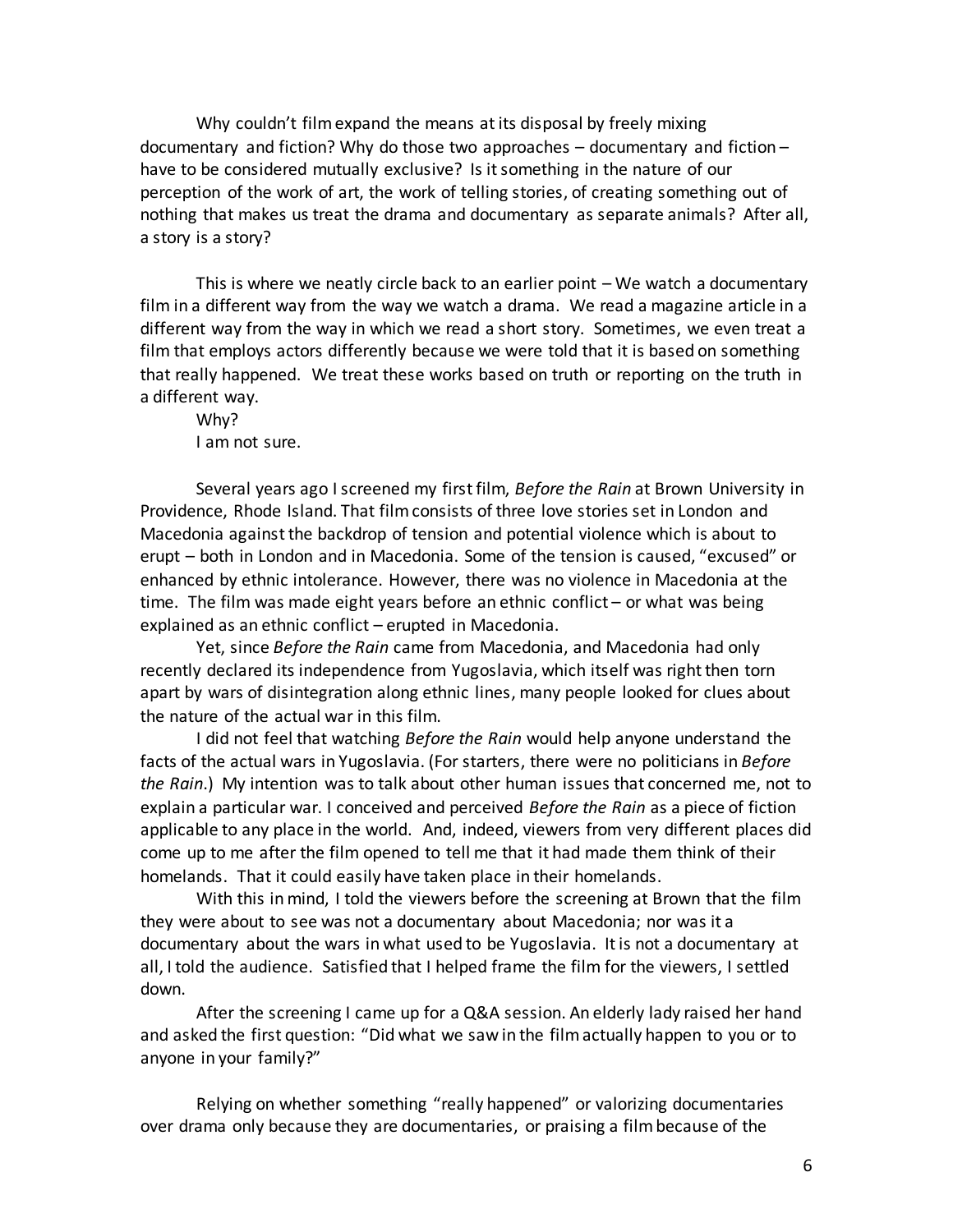Why couldn't filmexpand the means at its disposal by freely mixing documentary and fiction? Why do those two approaches – documentary and fiction – have to be considered mutually exclusive? Is it something in the nature of our perception of the work of art, the work of telling stories, of creating something out of nothing that makes us treat the drama and documentary as separate animals? After all, a story is a story?

This is where we neatly circle back to an earlier point – We watch a documentary film in a different way from the way we watch a drama. We read a magazine article in a different way from the way in which we read a short story. Sometimes, we even treat a film that employs actors differently because we were told that it is based on something that really happened. We treat these works based on truth or reporting on the truth in a different way.

Why? I am not sure.

Several years ago I screened my first film, *Before the Rain* at Brown University in Providence, Rhode Island. That film consists of three love stories set in London and Macedonia against the backdrop of tension and potential violence which is about to erupt – both in London and in Macedonia. Some of the tension is caused, "excused" or enhanced by ethnic intolerance. However, there was no violence in Macedonia at the time. The film was made eight years before an ethnic conflict – or what was being explained as an ethnic conflict – erupted in Macedonia.

Yet, since *Before the Rain* came from Macedonia, and Macedonia had only recently declared its independence from Yugoslavia, which itself was right then torn apart by wars of disintegration along ethnic lines, many people looked for clues about the nature of the actual war in this film.

I did not feel that watching *Before the Rain* would help anyone understand the facts of the actual wars in Yugoslavia. (For starters, there were no politicians in *Before the Rain*.) My intention was to talk about other human issues that concerned me, not to explain a particular war. I conceived and perceived *Before the Rain* as a piece of fiction applicable to any place in the world. And, indeed, viewers from very different places did come up to me after the film opened to tell me that it had made them think of their homelands. That it could easily have taken place in their homelands.

With this in mind, I told the viewers before the screening at Brown that the film they were about to see was not a documentary about Macedonia; nor was it a documentary about the wars in what used to be Yugoslavia. It is not a documentary at all, I told the audience. Satisfied that I helped frame the film for the viewers, I settled down.

After the screening I came up for a Q&A session. An elderly lady raised her hand and asked the first question: "Did what we saw in the film actually happen to you or to anyone in your family?"

Relying on whether something "really happened" or valorizing documentaries over drama only because they are documentaries, or praising a film because of the